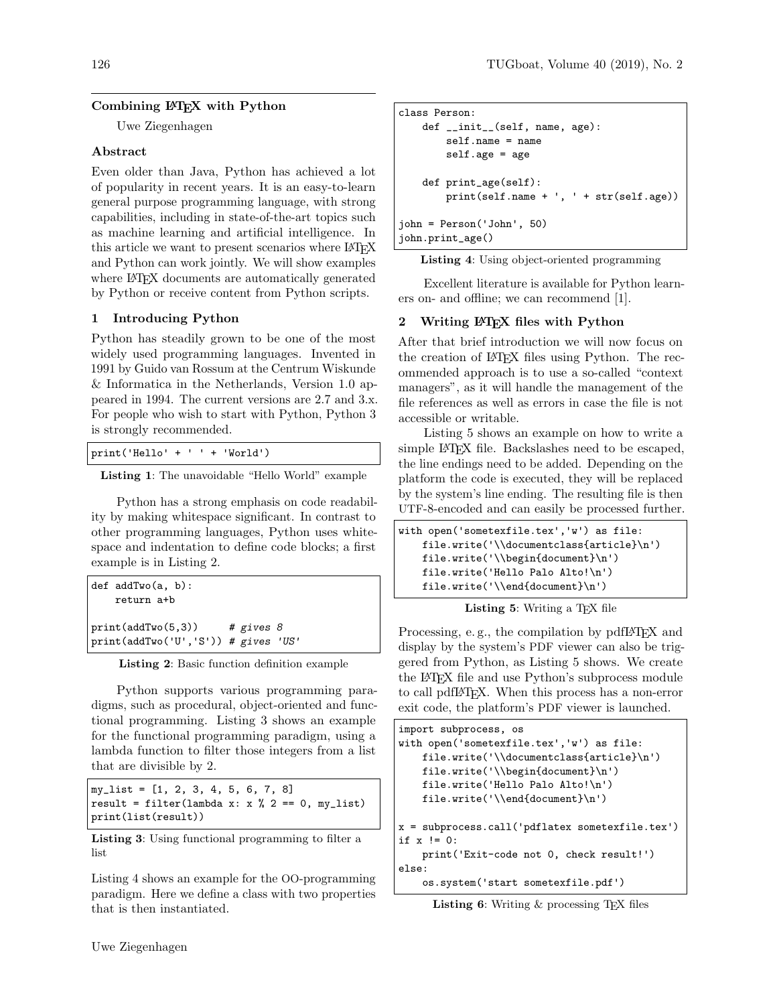# Combining LATEX with Python

Uwe Ziegenhagen

### Abstract

Even older than Java, Python has achieved a lot of popularity in recent years. It is an easy-to-learn general purpose programming language, with strong capabilities, including in state-of-the-art topics such as machine learning and artificial intelligence. In this article we want to present scenarios where LAT<sub>EX</sub> and Python can work jointly. We will show examples where LAT<sub>F</sub>X documents are automatically generated by Python or receive content from Python scripts.

## 1 Introducing Python

Python has steadily grown to be one of the most widely used programming languages. Invented in 1991 by Guido van Rossum at the Centrum Wiskunde & Informatica in the Netherlands, Version 1.0 appeared in 1994. The current versions are 2.7 and 3.x. For people who wish to start with Python, Python 3 is strongly recommended.

print('Hello' + ' ' + 'World')

Listing 1: The unavoidable "Hello World" example

Python has a strong emphasis on code readability by making whitespace significant. In contrast to other programming languages, Python uses whitespace and indentation to define code blocks; a first example is in Listing [2.](#page-0-0)

```
def addTwo(a, b):
   return a+b
print(addTwo(5,3)) # gives 8print(addTwo('U','S')) # gives 'US'
```
Listing 2: Basic function definition example

Python supports various programming paradigms, such as procedural, object-oriented and functional programming. Listing [3](#page-0-1) shows an example for the functional programming paradigm, using a lambda function to filter those integers from a list that are divisible by 2.

<span id="page-0-1"></span>my\_list = [1, 2, 3, 4, 5, 6, 7, 8] result = filter(lambda x: x % 2 == 0, my\_list) print(list(result))

Listing 3: Using functional programming to filter a list

Listing [4](#page-0-2) shows an example for the OO-programming paradigm. Here we define a class with two properties that is then instantiated.

```
class Person:
    def __init__(self, name, age):
        self.name = name
        self.age = age
    def print_age(self):
        print(self.name + ', ' + str(self.age))
john = Person('John', 50)
john.print_age()
```
Listing 4: Using object-oriented programming

Excellent literature is available for Python learners on- and offline; we can recommend [\[1\]](#page-2-0).

### 2 Writing LATEX files with Python

After that brief introduction we will now focus on the creation of LATEX files using Python. The recommended approach is to use a so-called "context managers", as it will handle the management of the file references as well as errors in case the file is not accessible or writable.

Listing [5](#page-0-3) shows an example on how to write a simple LAT<sub>EX</sub> file. Backslashes need to be escaped, the line endings need to be added. Depending on the platform the code is executed, they will be replaced by the system's line ending. The resulting file is then UTF-8-encoded and can easily be processed further.

```
with open('sometexfile.tex','w') as file:
   file.write('\\documentclass{article}\n')
   file.write('\\begin{document}\n')
   file.write('Hello Palo Alto!\n')
   file.write('\\end{document}\n')
```
Listing 5: Writing a T<sub>E</sub>X file

Processing, e.g., the compilation by pdfI $\Delta T$ <sub>EX</sub> and display by the system's PDF viewer can also be triggered from Python, as Listing [5](#page-0-3) shows. We create the LATEX file and use Python's subprocess module to call pdfLATEX. When this process has a non-error exit code, the platform's PDF viewer is launched.

```
import subprocess, os
with open('sometexfile.tex','w') as file:
    file.write('\\documentclass{article}\n')
    file.write('\\begin{document}\n')
    file.write('Hello Palo Alto!\n')
    file.write('\\end{document}\n')
x = subprocess.call('pdflatex sometexfile.tex')
if x != 0:
   print('Exit-code not 0, check result!')
else:
    os.system('start sometexfile.pdf')
```
**Listing 6:** Writing  $\&$  processing T<sub>E</sub>X files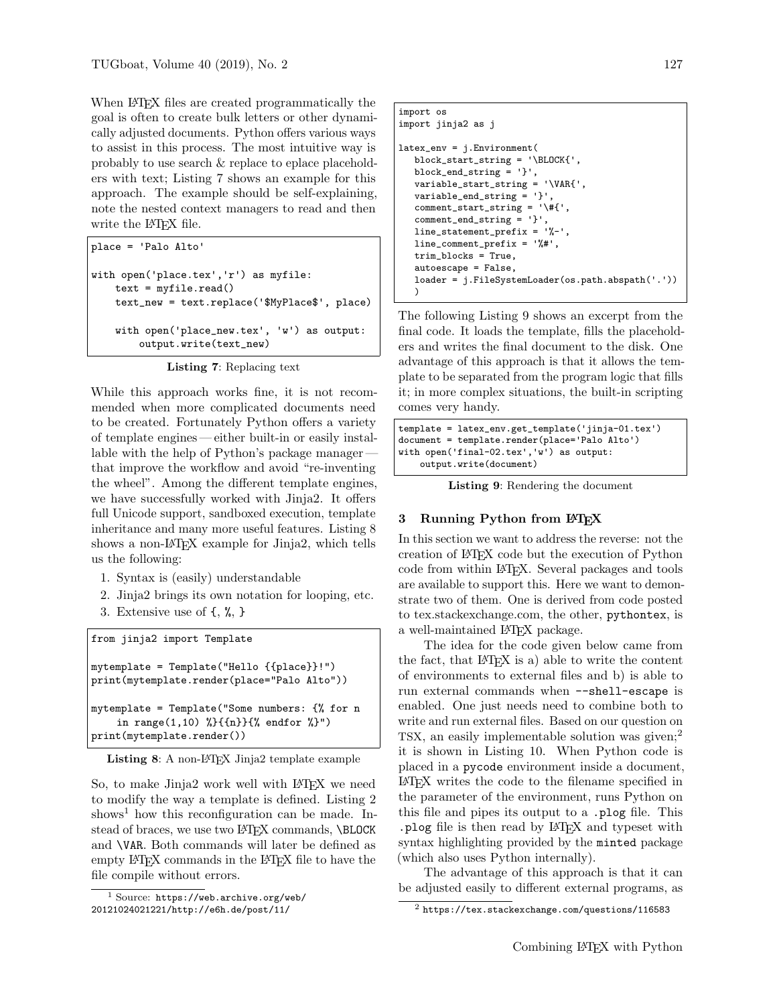When L<sup>AT</sup>FX files are created programmatically the goal is often to create bulk letters or other dynamically adjusted documents. Python offers various ways to assist in this process. The most intuitive way is probably to use search & replace to eplace placeholders with text; Listing [7](#page-1-0) shows an example for this approach. The example should be self-explaining, note the nested context managers to read and then write the L<sup>AT</sup>FX file.

```
place = 'Palo Alto'
with open('place.tex','r') as myfile:
   text = myfile.read()text_new = text.replace('$MyPlace$', place)
   with open('place_new.tex', 'w') as output:
       output.write(text_new)
```
Listing 7: Replacing text

While this approach works fine, it is not recommended when more complicated documents need to be created. Fortunately Python offers a variety of template engines — either built-in or easily installable with the help of Python's package manager that improve the workflow and avoid "re-inventing the wheel". Among the different template engines, we have successfully worked with Jinja2. It offers full Unicode support, sandboxed execution, template inheritance and many more useful features. Listing [8](#page-1-1) shows a non-L<sup>AT</sup>EX example for Jinja2, which tells us the following:

- 1. Syntax is (easily) understandable
- 2. Jinja2 brings its own notation for looping, etc.
- 3. Extensive use of {, %, }

<span id="page-1-1"></span>from jinja2 import Template

```
mytemplate = Template("Hello {{place}}!")
print(mytemplate.render(place="Palo Alto"))
mytemplate = Template("Some numbers: {% for n
    in range(1,10) \{\{\{n\}\}\{\{\}\}\ endfor \{\}\")
print(mytemplate.render())
```

```
Listing 8: A non-L<sup>AT</sup>FX Jinja2 template example
```
So, to make Jinja2 work well with LATEX we need to modify the way a template is defined. Listing [2](#page-1-2) shows<sup>[1](#page-1-3)</sup> how this reconfiguration can be made. Instead of braces, we use two LATEX commands, **\BLOCK** and \VAR. Both commands will later be defined as empty LAT<sub>EX</sub> commands in the LAT<sub>EX</sub> file to have the file compile without errors.

```
import os
import jinja2 as j
latex_env = j.Environment(
   block_start_string = '\BLOCK{',
   block_end_string = '}',
   variable_start_string = '\VAR{',
   variable_end_string = '}',
   comment_start_string = '\#{',
   comment_end_string = '}',
   line_statement_prefix = '%-',
   line_comment_prefix = '%#',
   trim_blocks = True,
   autoescape = False,
   loader = j.FileSystemLoader(os.path.abspath('.'))
   )
```
The following Listing [9](#page-1-4) shows an excerpt from the final code. It loads the template, fills the placeholders and writes the final document to the disk. One advantage of this approach is that it allows the template to be separated from the program logic that fills it; in more complex situations, the built-in scripting comes very handy.

```
template = latex_env.get_template('jinja-01.tex')
document = template.render(place='Palo Alto')
with open('final-02.tex','w') as output:
   output.write(document)
```
Listing 9: Rendering the document

#### 3 Running Python from LATEX

In this section we want to address the reverse: not the creation of LATEX code but the execution of Python code from within LATEX. Several packages and tools are available to support this. Here we want to demonstrate two of them. One is derived from code posted to tex.stackexchange.com, the other, pythontex, is a well-maintained LATEX package.

The idea for the code given below came from the fact, that LATEX is a) able to write the content of environments to external files and b) is able to run external commands when --shell-escape is enabled. One just needs need to combine both to write and run external files. Based on our question on TSX, an easily implementable solution was given;<sup>[2](#page-1-5)</sup> it is shown in Listing [10.](#page-2-1) When Python code is placed in a pycode environment inside a document, LATEX writes the code to the filename specified in the parameter of the environment, runs Python on this file and pipes its output to a .plog file. This .plog file is then read by LATEX and typeset with syntax highlighting provided by the minted package (which also uses Python internally).

The advantage of this approach is that it can be adjusted easily to different external programs, as

<span id="page-1-3"></span> $<sup>1</sup>$  Source: [https://web.archive.org/web/](https://web.archive.org/web/20121024021221/http://e6h.de/post/11/)</sup> [20121024021221/http://e6h.de/post/11/](https://web.archive.org/web/20121024021221/http://e6h.de/post/11/)

<span id="page-1-5"></span><sup>2</sup> <https://tex.stackexchange.com/questions/116583>